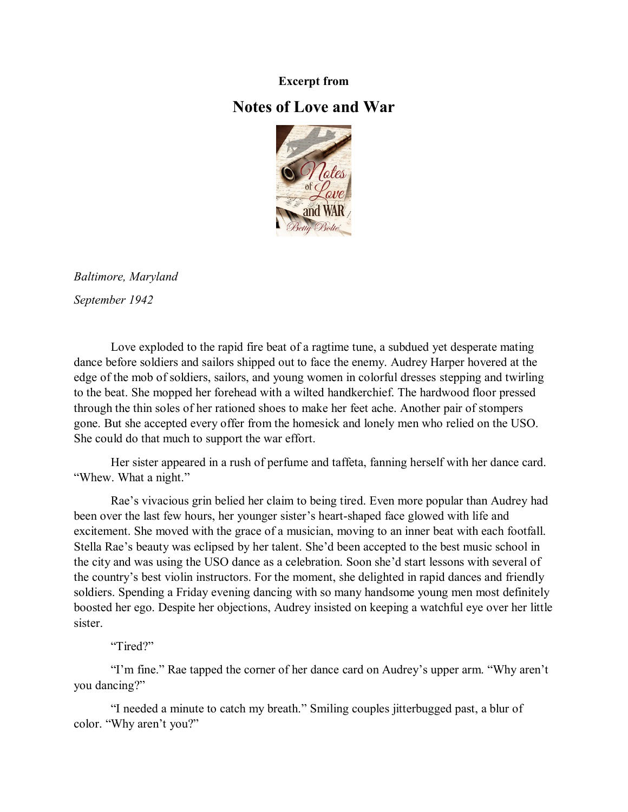## **Excerpt from**

## **Notes of Love and War**



*Baltimore, Maryland September 1942*

Love exploded to the rapid fire beat of a ragtime tune, a subdued yet desperate mating dance before soldiers and sailors shipped out to face the enemy. Audrey Harper hovered at the edge of the mob of soldiers, sailors, and young women in colorful dresses stepping and twirling to the beat. She mopped her forehead with a wilted handkerchief. The hardwood floor pressed through the thin soles of her rationed shoes to make her feet ache. Another pair of stompers gone. But she accepted every offer from the homesick and lonely men who relied on the USO. She could do that much to support the war effort.

Her sister appeared in a rush of perfume and taffeta, fanning herself with her dance card. "Whew. What a night."

Rae's vivacious grin belied her claim to being tired. Even more popular than Audrey had been over the last few hours, her younger sister's heart-shaped face glowed with life and excitement. She moved with the grace of a musician, moving to an inner beat with each footfall. Stella Rae's beauty was eclipsed by her talent. She'd been accepted to the best music school in the city and was using the USO dance as a celebration. Soon she'd start lessons with several of the country's best violin instructors. For the moment, she delighted in rapid dances and friendly soldiers. Spending a Friday evening dancing with so many handsome young men most definitely boosted her ego. Despite her objections, Audrey insisted on keeping a watchful eye over her little sister.

## "Tired?"

"I'm fine." Rae tapped the corner of her dance card on Audrey's upper arm. "Why aren't you dancing?"

"I needed a minute to catch my breath." Smiling couples jitterbugged past, a blur of color. "Why aren't you?"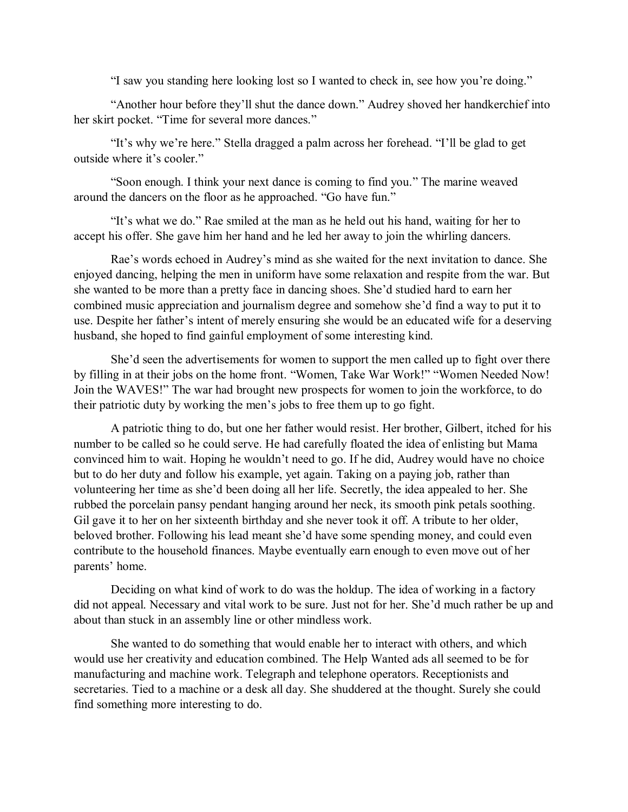"I saw you standing here looking lost so I wanted to check in, see how you're doing."

"Another hour before they'll shut the dance down." Audrey shoved her handkerchief into her skirt pocket. "Time for several more dances."

"It's why we're here." Stella dragged a palm across her forehead. "I'll be glad to get outside where it's cooler."

"Soon enough. I think your next dance is coming to find you." The marine weaved around the dancers on the floor as he approached. "Go have fun."

"It's what we do." Rae smiled at the man as he held out his hand, waiting for her to accept his offer. She gave him her hand and he led her away to join the whirling dancers.

Rae's words echoed in Audrey's mind as she waited for the next invitation to dance. She enjoyed dancing, helping the men in uniform have some relaxation and respite from the war. But she wanted to be more than a pretty face in dancing shoes. She'd studied hard to earn her combined music appreciation and journalism degree and somehow she'd find a way to put it to use. Despite her father's intent of merely ensuring she would be an educated wife for a deserving husband, she hoped to find gainful employment of some interesting kind.

She'd seen the advertisements for women to support the men called up to fight over there by filling in at their jobs on the home front. "Women, Take War Work!" "Women Needed Now! Join the WAVES!" The war had brought new prospects for women to join the workforce, to do their patriotic duty by working the men's jobs to free them up to go fight.

A patriotic thing to do, but one her father would resist. Her brother, Gilbert, itched for his number to be called so he could serve. He had carefully floated the idea of enlisting but Mama convinced him to wait. Hoping he wouldn't need to go. If he did, Audrey would have no choice but to do her duty and follow his example, yet again. Taking on a paying job, rather than volunteering her time as she'd been doing all her life. Secretly, the idea appealed to her. She rubbed the porcelain pansy pendant hanging around her neck, its smooth pink petals soothing. Gil gave it to her on her sixteenth birthday and she never took it off. A tribute to her older, beloved brother. Following his lead meant she'd have some spending money, and could even contribute to the household finances. Maybe eventually earn enough to even move out of her parents' home.

Deciding on what kind of work to do was the holdup. The idea of working in a factory did not appeal. Necessary and vital work to be sure. Just not for her. She'd much rather be up and about than stuck in an assembly line or other mindless work.

She wanted to do something that would enable her to interact with others, and which would use her creativity and education combined. The Help Wanted ads all seemed to be for manufacturing and machine work. Telegraph and telephone operators. Receptionists and secretaries. Tied to a machine or a desk all day. She shuddered at the thought. Surely she could find something more interesting to do.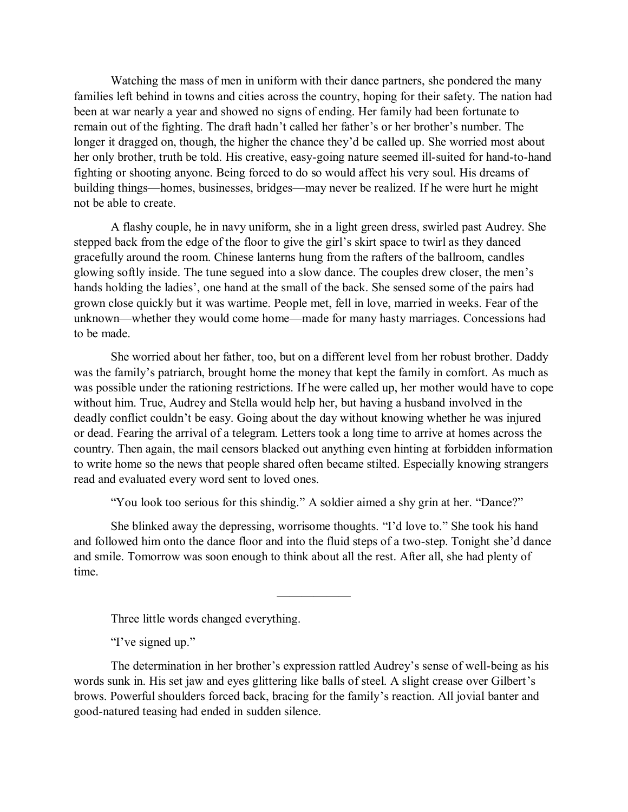Watching the mass of men in uniform with their dance partners, she pondered the many families left behind in towns and cities across the country, hoping for their safety. The nation had been at war nearly a year and showed no signs of ending. Her family had been fortunate to remain out of the fighting. The draft hadn't called her father's or her brother's number. The longer it dragged on, though, the higher the chance they'd be called up. She worried most about her only brother, truth be told. His creative, easy-going nature seemed ill-suited for hand-to-hand fighting or shooting anyone. Being forced to do so would affect his very soul. His dreams of building things—homes, businesses, bridges—may never be realized. If he were hurt he might not be able to create.

A flashy couple, he in navy uniform, she in a light green dress, swirled past Audrey. She stepped back from the edge of the floor to give the girl's skirt space to twirl as they danced gracefully around the room. Chinese lanterns hung from the rafters of the ballroom, candles glowing softly inside. The tune segued into a slow dance. The couples drew closer, the men's hands holding the ladies', one hand at the small of the back. She sensed some of the pairs had grown close quickly but it was wartime. People met, fell in love, married in weeks. Fear of the unknown—whether they would come home—made for many hasty marriages. Concessions had to be made.

She worried about her father, too, but on a different level from her robust brother. Daddy was the family's patriarch, brought home the money that kept the family in comfort. As much as was possible under the rationing restrictions. If he were called up, her mother would have to cope without him. True, Audrey and Stella would help her, but having a husband involved in the deadly conflict couldn't be easy. Going about the day without knowing whether he was injured or dead. Fearing the arrival of a telegram. Letters took a long time to arrive at homes across the country. Then again, the mail censors blacked out anything even hinting at forbidden information to write home so the news that people shared often became stilted. Especially knowing strangers read and evaluated every word sent to loved ones.

"You look too serious for this shindig." A soldier aimed a shy grin at her. "Dance?"

She blinked away the depressing, worrisome thoughts. "I'd love to." She took his hand and followed him onto the dance floor and into the fluid steps of a two-step. Tonight she'd dance and smile. Tomorrow was soon enough to think about all the rest. After all, she had plenty of time.

——————

Three little words changed everything.

"I've signed up."

The determination in her brother's expression rattled Audrey's sense of well-being as his words sunk in. His set jaw and eyes glittering like balls of steel. A slight crease over Gilbert's brows. Powerful shoulders forced back, bracing for the family's reaction. All jovial banter and good-natured teasing had ended in sudden silence.